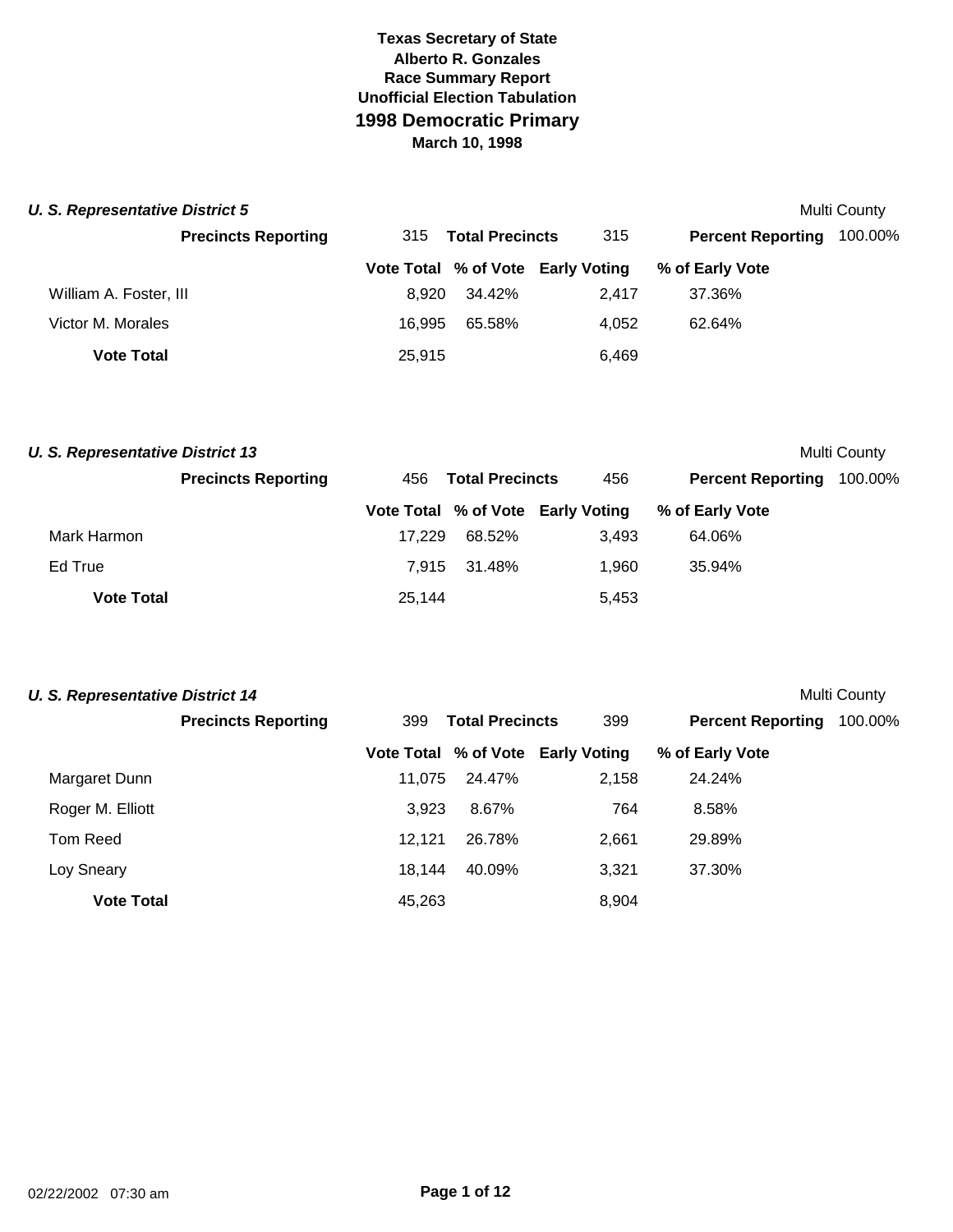| <b>U. S. Representative District 5</b><br>Multi County |                            |                               |        |                                   |                          |         |  |  |
|--------------------------------------------------------|----------------------------|-------------------------------|--------|-----------------------------------|--------------------------|---------|--|--|
|                                                        | <b>Precincts Reporting</b> | <b>Total Precincts</b><br>315 |        | 315                               | <b>Percent Reporting</b> | 100.00% |  |  |
|                                                        |                            |                               |        | Vote Total % of Vote Early Voting | % of Early Vote          |         |  |  |
| William A. Foster, III                                 |                            | 8.920                         | 34.42% | 2.417                             | 37.36%                   |         |  |  |
| Victor M. Morales                                      |                            | 16.995                        | 65.58% | 4.052                             | 62.64%                   |         |  |  |
| <b>Vote Total</b>                                      |                            | 25,915                        |        | 6.469                             |                          |         |  |  |

| <b>U. S. Representative District 13</b> |                            |                               |        |                                   |                          | Multi County |
|-----------------------------------------|----------------------------|-------------------------------|--------|-----------------------------------|--------------------------|--------------|
|                                         | <b>Precincts Reporting</b> | <b>Total Precincts</b><br>456 |        | 456                               | <b>Percent Reporting</b> | 100.00%      |
|                                         |                            |                               |        | Vote Total % of Vote Early Voting | % of Early Vote          |              |
| Mark Harmon                             |                            | 17.229                        | 68.52% | 3.493                             | 64.06%                   |              |
| Ed True                                 |                            | 7.915                         | 31.48% | 1.960                             | 35.94%                   |              |
| <b>Vote Total</b>                       |                            | 25,144                        |        | 5,453                             |                          |              |

| U. S. Representative District 14 |                            |        |                        |                                   |                          | Multi County |
|----------------------------------|----------------------------|--------|------------------------|-----------------------------------|--------------------------|--------------|
|                                  | <b>Precincts Reporting</b> | 399    | <b>Total Precincts</b> | 399                               | <b>Percent Reporting</b> | 100.00%      |
|                                  |                            |        |                        | Vote Total % of Vote Early Voting | % of Early Vote          |              |
| Margaret Dunn                    |                            | 11.075 | 24.47%                 | 2,158                             | 24.24%                   |              |
| Roger M. Elliott                 |                            | 3,923  | 8.67%                  | 764                               | 8.58%                    |              |
| Tom Reed                         |                            | 12.121 | 26.78%                 | 2,661                             | 29.89%                   |              |
| Loy Sneary                       |                            | 18.144 | 40.09%                 | 3,321                             | 37.30%                   |              |
| <b>Vote Total</b>                |                            | 45.263 |                        | 8,904                             |                          |              |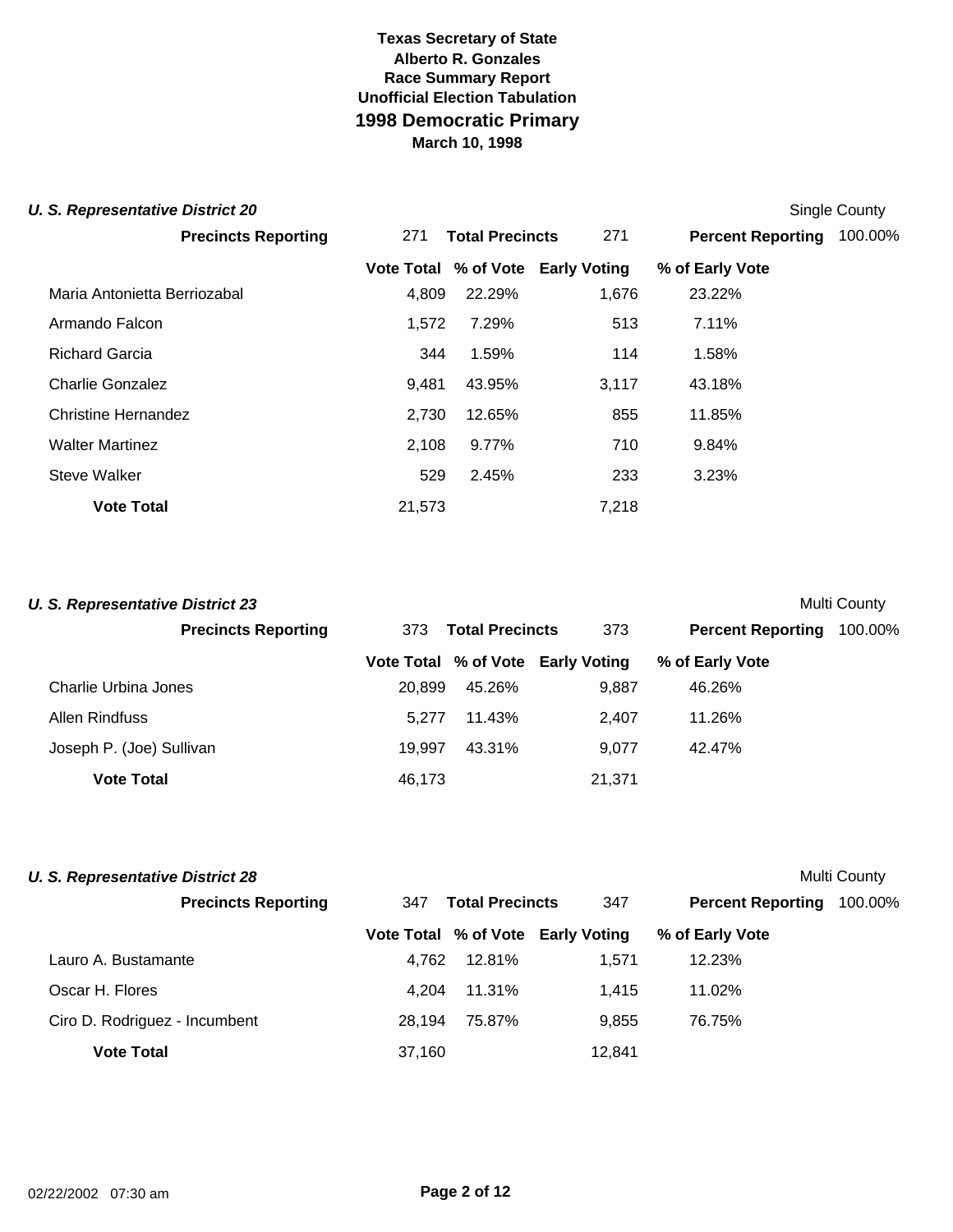#### **U. S. Representative District 20** Single County

| <b>Precincts Reporting</b>   | 271    | <b>Total Precincts</b> | 271                               | <b>Percent Reporting</b> | 100.00% |
|------------------------------|--------|------------------------|-----------------------------------|--------------------------|---------|
|                              |        |                        | Vote Total % of Vote Early Voting | % of Early Vote          |         |
| Maria Antonietta Berriozabal | 4,809  | 22.29%                 | 1,676                             | 23.22%                   |         |
| Armando Falcon               | 1,572  | 7.29%                  | 513                               | 7.11%                    |         |
| <b>Richard Garcia</b>        | 344    | 1.59%                  | 114                               | 1.58%                    |         |
| Charlie Gonzalez             | 9.481  | 43.95%                 | 3,117                             | 43.18%                   |         |
| Christine Hernandez          | 2.730  | 12.65%                 | 855                               | 11.85%                   |         |
| <b>Walter Martinez</b>       | 2,108  | 9.77%                  | 710                               | 9.84%                    |         |
| Steve Walker                 | 529    | 2.45%                  | 233                               | 3.23%                    |         |
| <b>Vote Total</b>            | 21.573 |                        | 7,218                             |                          |         |

| Multi County<br><b>U. S. Representative District 23</b> |        |                        |                                   |                          |         |  |  |
|---------------------------------------------------------|--------|------------------------|-----------------------------------|--------------------------|---------|--|--|
| <b>Precincts Reporting</b>                              | 373    | <b>Total Precincts</b> |                                   | <b>Percent Reporting</b> | 100.00% |  |  |
|                                                         |        |                        | Vote Total % of Vote Early Voting | % of Early Vote          |         |  |  |
| Charlie Urbina Jones                                    | 20,899 | 45.26%                 | 9.887                             | 46.26%                   |         |  |  |
| Allen Rindfuss                                          | 5.277  | 11.43%                 | 2.407                             | 11.26%                   |         |  |  |
| Joseph P. (Joe) Sullivan                                | 19.997 | 43.31%                 | 9.077                             | 42.47%                   |         |  |  |
| <b>Vote Total</b>                                       | 46,173 |                        | 21,371                            |                          |         |  |  |

| U. S. Representative District 28<br>Multi County |                               |        |                                   |                          |         |  |  |
|--------------------------------------------------|-------------------------------|--------|-----------------------------------|--------------------------|---------|--|--|
| <b>Precincts Reporting</b>                       | <b>Total Precincts</b><br>347 |        | 347                               | <b>Percent Reporting</b> | 100.00% |  |  |
|                                                  |                               |        | Vote Total % of Vote Early Voting | % of Early Vote          |         |  |  |
| Lauro A. Bustamante                              | 4.762                         | 12.81% | 1.571                             | 12.23%                   |         |  |  |
| Oscar H. Flores                                  | 4.204                         | 11.31% | 1.415                             | 11.02%                   |         |  |  |
| Ciro D. Rodriguez - Incumbent                    | 28.194                        | 75.87% | 9.855                             | 76.75%                   |         |  |  |
| <b>Vote Total</b>                                | 37.160                        |        | 12.841                            |                          |         |  |  |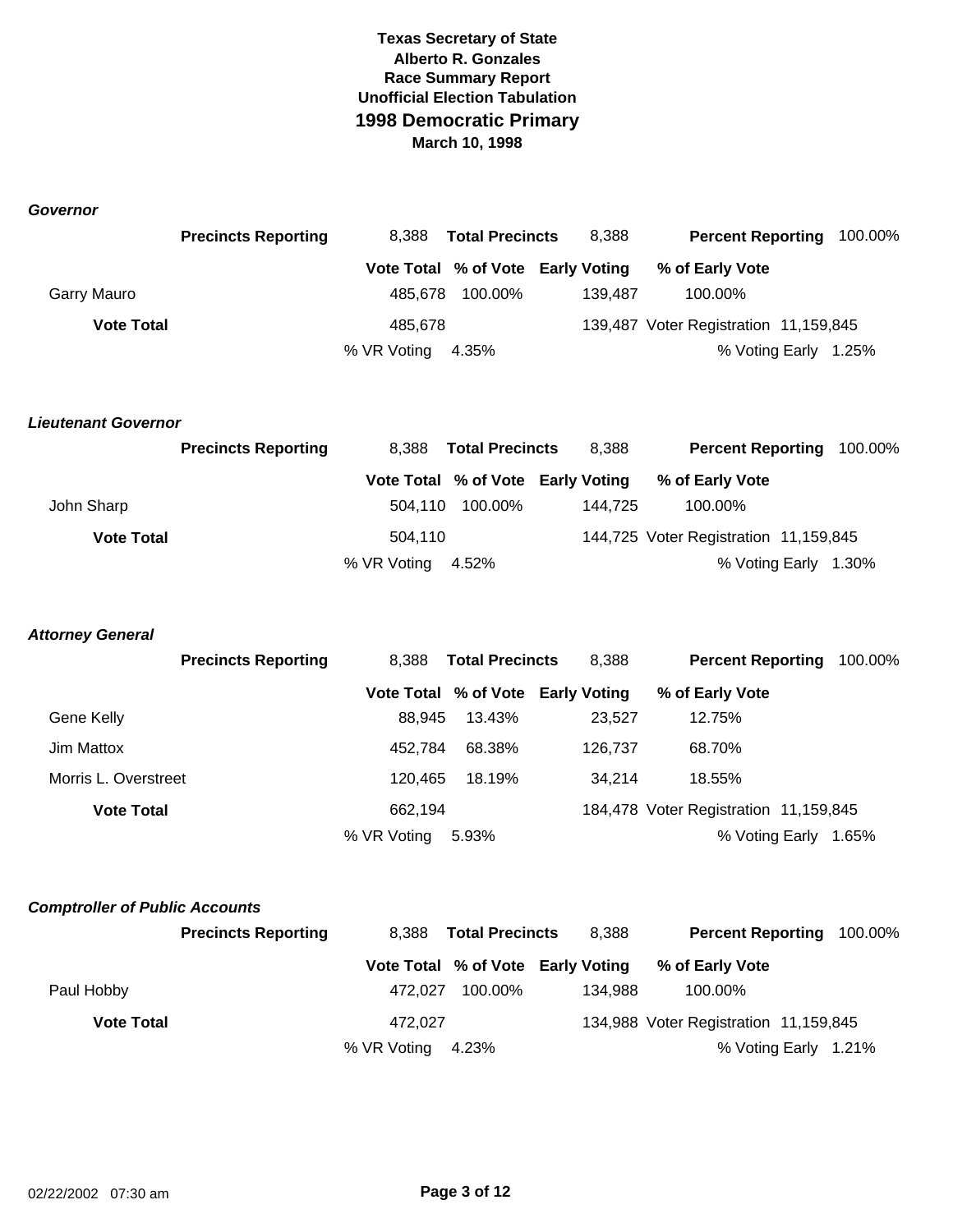*Governor*

|                   | <b>Precincts Reporting</b> | 8.388       | <b>Total Precincts</b> | 8,388                             | <b>Percent Reporting 100.00%</b>      |  |
|-------------------|----------------------------|-------------|------------------------|-----------------------------------|---------------------------------------|--|
|                   |                            |             |                        | Vote Total % of Vote Early Voting | % of Early Vote                       |  |
| Garry Mauro       |                            |             | 485,678 100.00%        | 139.487                           | 100.00%                               |  |
| <b>Vote Total</b> |                            | 485,678     |                        |                                   | 139,487 Voter Registration 11,159,845 |  |
|                   |                            | % VR Voting | 4.35%                  |                                   | % Voting Early 1.25%                  |  |

#### *Lieutenant Governor*

|                   | <b>Precincts Reporting</b> | <b>Total Precincts</b><br>8.388 |                 | 8,388                             | Percent Reporting 100.00%             |  |
|-------------------|----------------------------|---------------------------------|-----------------|-----------------------------------|---------------------------------------|--|
|                   |                            |                                 |                 | Vote Total % of Vote Early Voting | % of Early Vote                       |  |
| John Sharp        |                            |                                 | 504.110 100.00% | 144.725                           | 100.00%                               |  |
| <b>Vote Total</b> |                            | 504.110                         |                 |                                   | 144,725 Voter Registration 11,159,845 |  |
|                   |                            | % VR Voting 4.52%               |                 |                                   | % Voting Early 1.30%                  |  |

#### *Attorney General*

|                      | <b>Precincts Reporting</b> | 8.388<br><b>Total Precincts</b> |        | 8,388                             | <b>Percent Reporting</b>              | 100.00% |
|----------------------|----------------------------|---------------------------------|--------|-----------------------------------|---------------------------------------|---------|
|                      |                            |                                 |        | Vote Total % of Vote Early Voting | % of Early Vote                       |         |
| Gene Kelly           |                            | 88.945                          | 13.43% | 23.527                            | 12.75%                                |         |
| Jim Mattox           |                            | 452.784                         | 68.38% | 126.737                           | 68.70%                                |         |
| Morris L. Overstreet |                            | 120.465                         | 18.19% | 34.214                            | 18.55%                                |         |
| <b>Vote Total</b>    |                            | 662.194                         |        |                                   | 184,478 Voter Registration 11,159,845 |         |
|                      | % VR Voting                |                                 | 5.93%  |                                   | % Voting Early                        | 1.65%   |

#### *Comptroller of Public Accounts*

|                   | <b>Precincts Reporting</b> | 8.388             | <b>Total Precincts</b> | 8.388                             |                                       | Percent Reporting 100.00% |
|-------------------|----------------------------|-------------------|------------------------|-----------------------------------|---------------------------------------|---------------------------|
|                   |                            |                   |                        | Vote Total % of Vote Early Voting | % of Early Vote                       |                           |
| Paul Hobby        |                            | 472.027           | 100.00%                | 134.988                           | 100.00%                               |                           |
| <b>Vote Total</b> |                            | 472.027           |                        |                                   | 134,988 Voter Registration 11,159,845 |                           |
|                   |                            | % VR Voting 4.23% |                        |                                   |                                       | % Voting Early 1.21%      |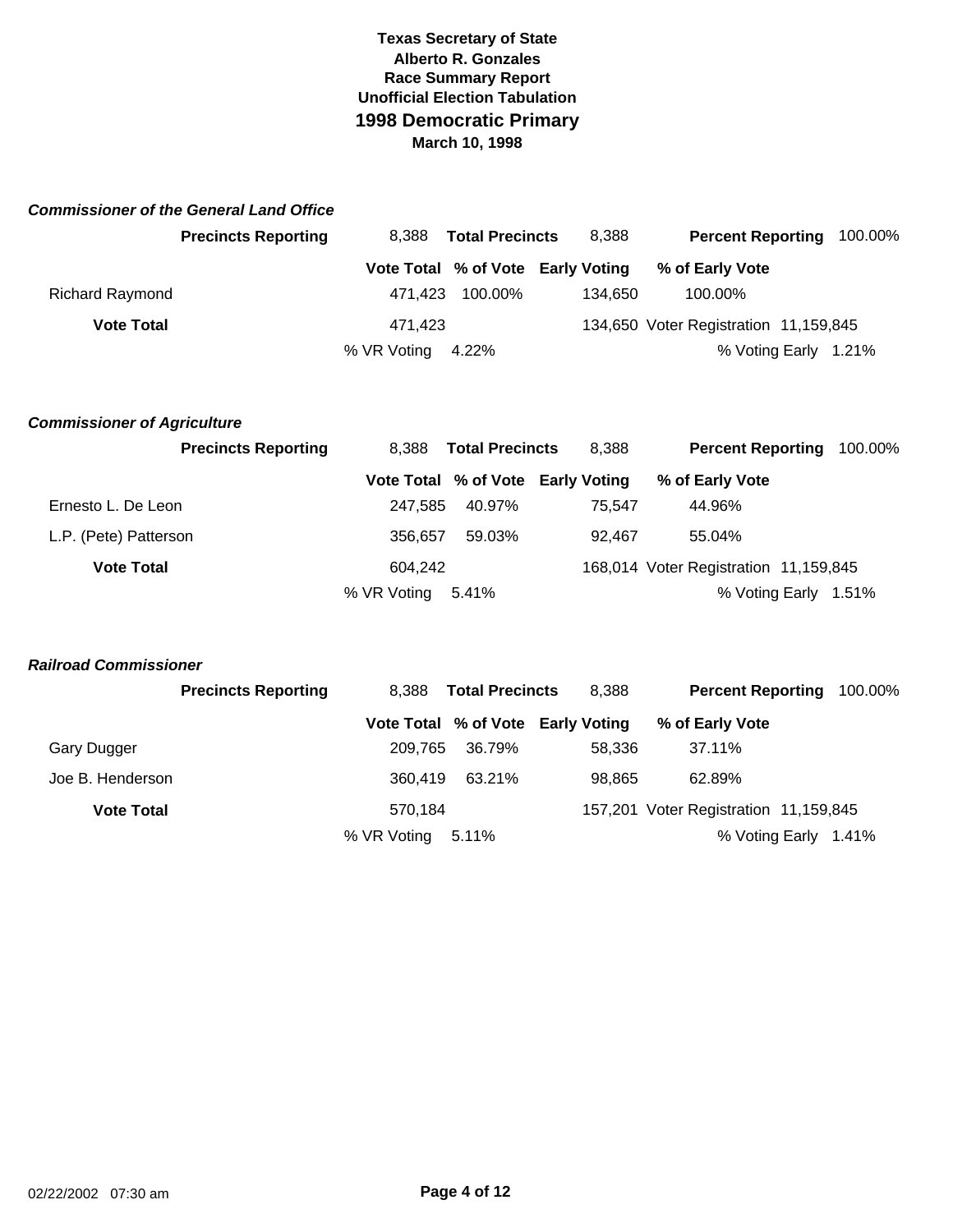|                        | <b>Commissioner of the General Land Office</b> |             |                        |                                   |                                       |                      |  |
|------------------------|------------------------------------------------|-------------|------------------------|-----------------------------------|---------------------------------------|----------------------|--|
|                        | <b>Precincts Reporting</b>                     | 8.388       | <b>Total Precincts</b> | 8,388                             | <b>Percent Reporting</b>              | 100.00%              |  |
|                        |                                                |             |                        | Vote Total % of Vote Early Voting | % of Early Vote                       |                      |  |
| <b>Richard Raymond</b> |                                                | 471.423     | 100.00%                | 134.650                           | 100.00%                               |                      |  |
| <b>Vote Total</b>      |                                                | 471.423     |                        |                                   | 134,650 Voter Registration 11,159,845 |                      |  |
|                        |                                                | % VR Voting | 4.22%                  |                                   |                                       | % Voting Early 1.21% |  |

#### *Commissioner of Agriculture*

|                       | <b>Precincts Reporting</b> | <b>Total Precincts</b><br>8.388 |        | 8,388                             | Percent Reporting 100.00%             |  |
|-----------------------|----------------------------|---------------------------------|--------|-----------------------------------|---------------------------------------|--|
|                       |                            |                                 |        | Vote Total % of Vote Early Voting | % of Early Vote                       |  |
| Ernesto L. De Leon    |                            | 247.585                         | 40.97% | 75.547                            | 44.96%                                |  |
| L.P. (Pete) Patterson |                            | 356.657                         | 59.03% | 92.467                            | 55.04%                                |  |
| <b>Vote Total</b>     |                            | 604.242                         |        |                                   | 168,014 Voter Registration 11,159,845 |  |
|                       |                            | % VR Voting 5.41%               |        |                                   | % Voting Early 1.51%                  |  |

#### *Railroad Commissioner*

|                   | <b>Precincts Reporting</b> | 8.388       | <b>Total Precincts</b> | 8,388                             | <b>Percent Reporting</b>              | 100.00% |
|-------------------|----------------------------|-------------|------------------------|-----------------------------------|---------------------------------------|---------|
|                   |                            |             |                        | Vote Total % of Vote Early Voting | % of Early Vote                       |         |
| Gary Dugger       |                            | 209.765     | 36.79%                 | 58.336                            | 37.11%                                |         |
| Joe B. Henderson  |                            | 360.419     | 63.21%                 | 98.865                            | 62.89%                                |         |
| <b>Vote Total</b> |                            | 570.184     |                        |                                   | 157,201 Voter Registration 11,159,845 |         |
|                   |                            | % VR Voting | 5.11%                  |                                   | % Voting Early 1.41%                  |         |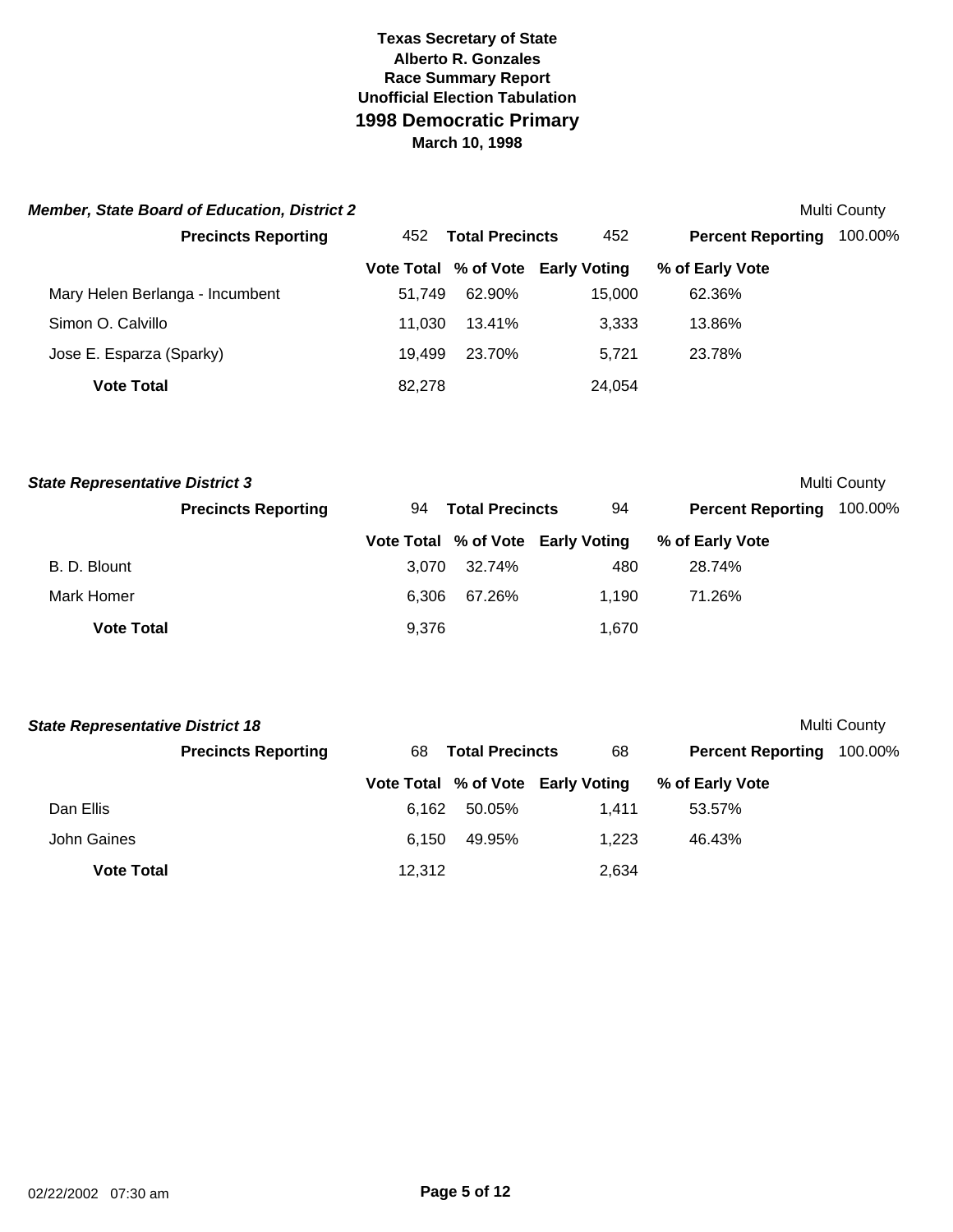| <b>Member, State Board of Education, District 2</b> |        |                        |                                   |                          | Multi County |
|-----------------------------------------------------|--------|------------------------|-----------------------------------|--------------------------|--------------|
| <b>Precincts Reporting</b>                          | 452    | <b>Total Precincts</b> | 452                               | <b>Percent Reporting</b> | 100.00%      |
|                                                     |        |                        | Vote Total % of Vote Early Voting | % of Early Vote          |              |
| Mary Helen Berlanga - Incumbent                     | 51.749 | 62.90%                 | 15.000                            | 62.36%                   |              |
| Simon O. Calvillo                                   | 11.030 | 13.41%                 | 3,333                             | 13.86%                   |              |
| Jose E. Esparza (Sparky)                            | 19.499 | 23.70%                 | 5.721                             | 23.78%                   |              |
| <b>Vote Total</b>                                   | 82.278 |                        | 24,054                            |                          |              |

| <b>State Representative District 3</b> |                            |       |                        |                                   |                          | <b>Multi County</b> |
|----------------------------------------|----------------------------|-------|------------------------|-----------------------------------|--------------------------|---------------------|
|                                        | <b>Precincts Reporting</b> | 94    | <b>Total Precincts</b> | 94                                | <b>Percent Reporting</b> | 100.00%             |
|                                        |                            |       |                        | Vote Total % of Vote Early Voting | % of Early Vote          |                     |
| B. D. Blount                           |                            | 3.070 | 32.74%                 | 480                               | 28.74%                   |                     |
| Mark Homer                             |                            | 6.306 | 67.26%                 | 1.190                             | 71.26%                   |                     |
| <b>Vote Total</b>                      |                            | 9,376 |                        | 1,670                             |                          |                     |

| <b>State Representative District 18</b> |                            |        |                        |                                   |                          | Multi County |
|-----------------------------------------|----------------------------|--------|------------------------|-----------------------------------|--------------------------|--------------|
|                                         | <b>Precincts Reporting</b> | 68     | <b>Total Precincts</b> | 68                                | <b>Percent Reporting</b> | 100.00%      |
|                                         |                            |        |                        | Vote Total % of Vote Early Voting | % of Early Vote          |              |
| Dan Ellis                               |                            | 6.162  | 50.05%                 | 1.411                             | 53.57%                   |              |
| John Gaines                             |                            | 6.150  | 49.95%                 | 1.223                             | 46.43%                   |              |
| <b>Vote Total</b>                       |                            | 12,312 |                        | 2,634                             |                          |              |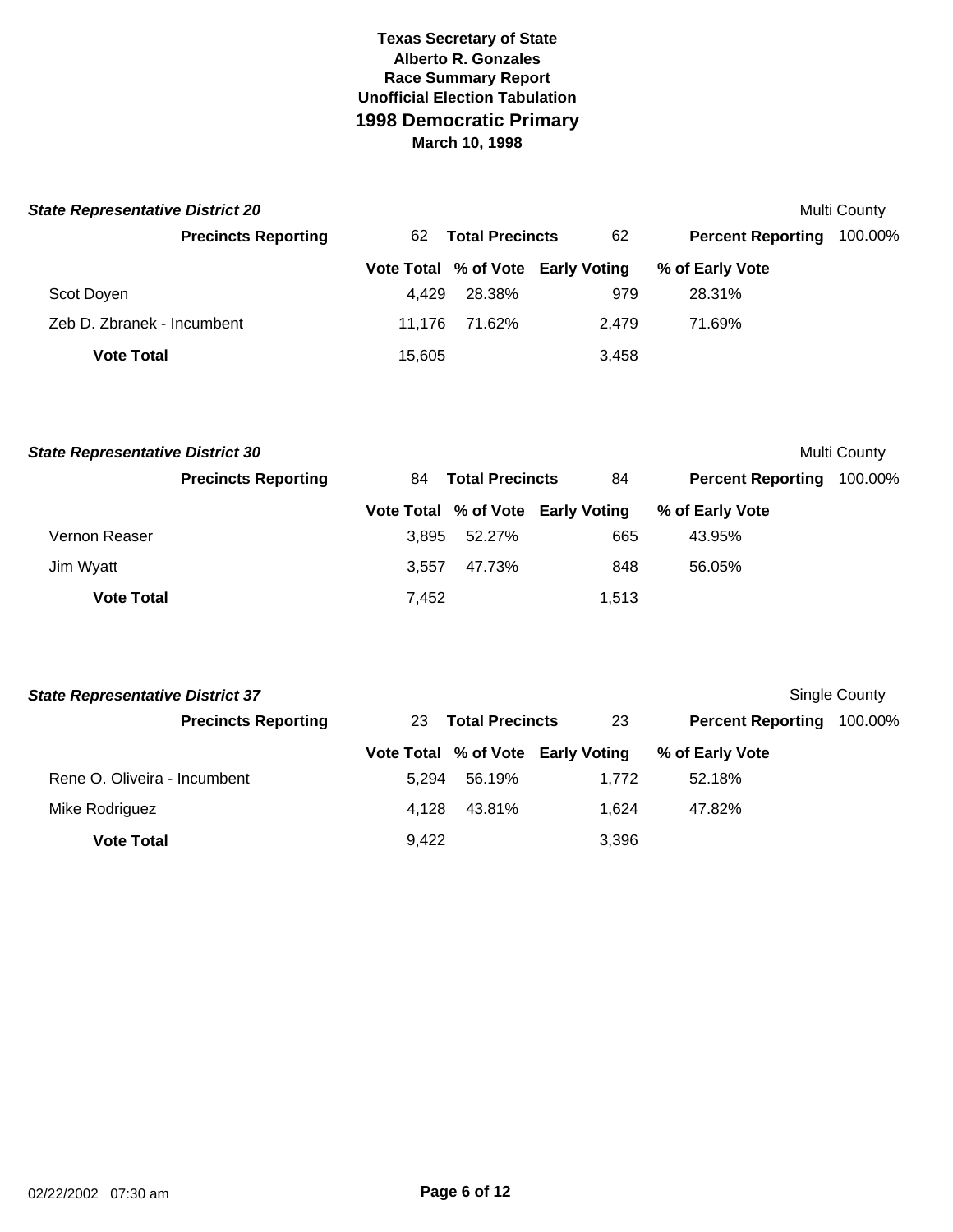| <b>State Representative District 20</b> |        |                        |                                   |                          | Multi County |
|-----------------------------------------|--------|------------------------|-----------------------------------|--------------------------|--------------|
| <b>Precincts Reporting</b>              | 62     | <b>Total Precincts</b> | 62                                | <b>Percent Reporting</b> | 100.00%      |
|                                         |        |                        | Vote Total % of Vote Early Voting | % of Early Vote          |              |
| Scot Doyen                              | 4.429  | 28.38%                 | 979                               | 28.31%                   |              |
| Zeb D. Zbranek - Incumbent              | 11.176 | 71.62%                 | 2.479                             | 71.69%                   |              |
| <b>Vote Total</b>                       | 15,605 |                        | 3,458                             |                          |              |

| <b>State Representative District 30</b> |                            |       |                        |                                   |                          | <b>Multi County</b> |
|-----------------------------------------|----------------------------|-------|------------------------|-----------------------------------|--------------------------|---------------------|
|                                         | <b>Precincts Reporting</b> | 84.   | <b>Total Precincts</b> | 84                                | <b>Percent Reporting</b> | 100.00%             |
|                                         |                            |       |                        | Vote Total % of Vote Early Voting | % of Early Vote          |                     |
| Vernon Reaser                           |                            | 3.895 | 52.27%                 | 665                               | 43.95%                   |                     |
| Jim Wyatt                               |                            | 3.557 | 47.73%                 | 848                               | 56.05%                   |                     |
| <b>Vote Total</b>                       |                            | 7,452 |                        | 1,513                             |                          |                     |

| <b>State Representative District 37</b> |       |                        |                                   |                          | Single County |
|-----------------------------------------|-------|------------------------|-----------------------------------|--------------------------|---------------|
| <b>Precincts Reporting</b>              | 23    | <b>Total Precincts</b> | 23                                | <b>Percent Reporting</b> | 100.00%       |
|                                         |       |                        | Vote Total % of Vote Early Voting | % of Early Vote          |               |
| Rene O. Oliveira - Incumbent            | 5.294 | 56.19%                 | 1.772                             | 52.18%                   |               |
| Mike Rodriguez                          | 4.128 | 43.81%                 | 1.624                             | 47.82%                   |               |
| <b>Vote Total</b>                       | 9,422 |                        | 3,396                             |                          |               |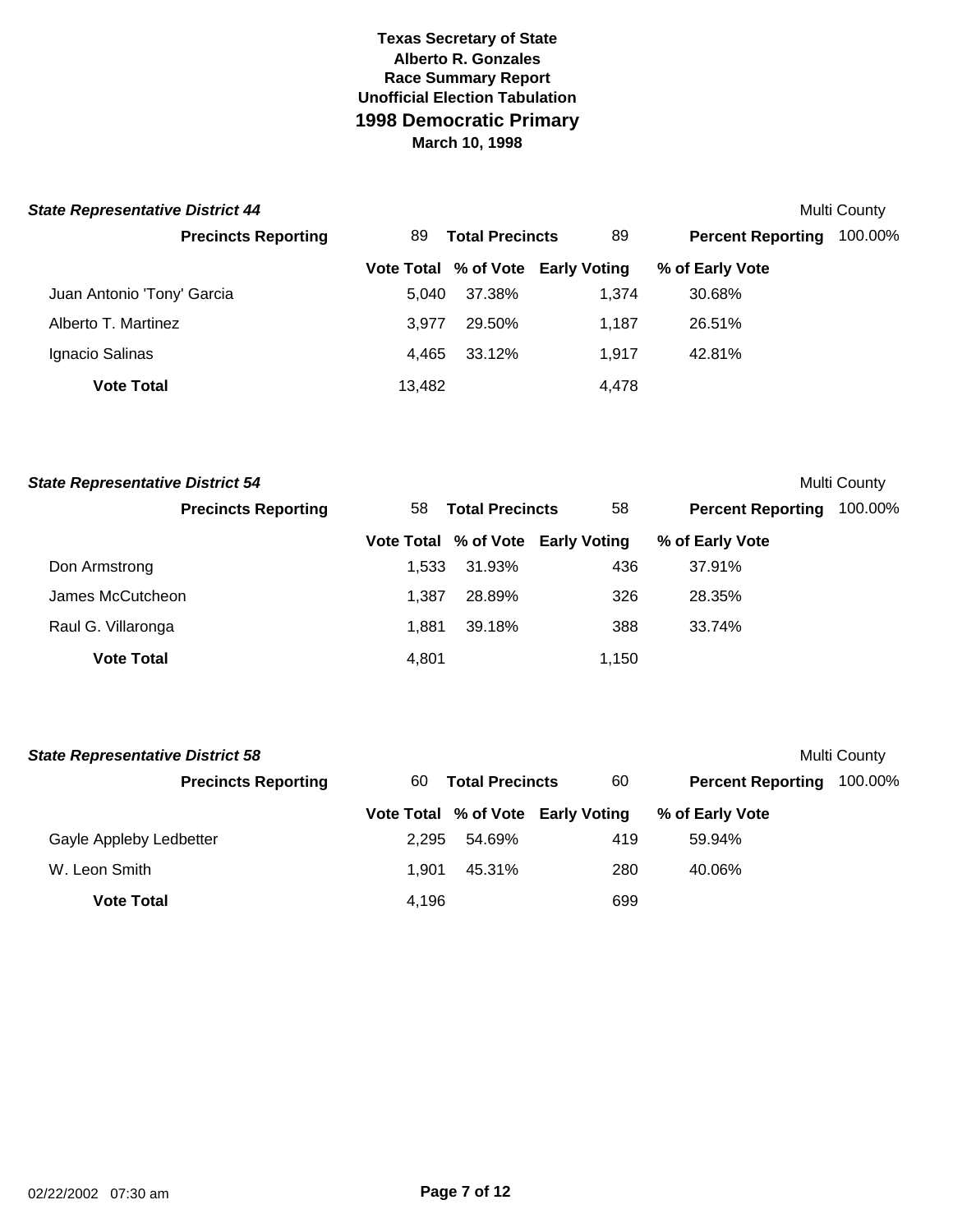#### **State Representative District 44** Multi County

| <b>Precincts Reporting</b> | 89     | <b>Total Precincts</b> | 89                                | <b>Percent Reporting</b> | 100.00% |
|----------------------------|--------|------------------------|-----------------------------------|--------------------------|---------|
|                            |        |                        | Vote Total % of Vote Early Voting | % of Early Vote          |         |
| Juan Antonio 'Tony' Garcia | 5.040  | 37.38%                 | 1.374                             | 30.68%                   |         |
| Alberto T. Martinez        | 3.977  | 29.50%                 | 1.187                             | 26.51%                   |         |
| Ignacio Salinas            | 4.465  | 33.12%                 | 1.917                             | 42.81%                   |         |
| <b>Vote Total</b>          | 13,482 |                        | 4,478                             |                          |         |

| <b>State Representative District 54</b> |       |                        |                                   |                          | Multi County |
|-----------------------------------------|-------|------------------------|-----------------------------------|--------------------------|--------------|
| <b>Precincts Reporting</b>              | 58    | <b>Total Precincts</b> | 58                                | <b>Percent Reporting</b> | 100.00%      |
|                                         |       |                        | Vote Total % of Vote Early Voting | % of Early Vote          |              |
| Don Armstrong                           | 1.533 | 31.93%                 | 436                               | 37.91%                   |              |
| James McCutcheon                        | 1.387 | 28.89%                 | 326                               | 28.35%                   |              |
| Raul G. Villaronga                      | 1.881 | 39.18%                 | 388                               | 33.74%                   |              |
| <b>Vote Total</b>                       | 4,801 |                        | 1,150                             |                          |              |

| <b>State Representative District 58</b> |       |                        |                                   |                          | Multi County |
|-----------------------------------------|-------|------------------------|-----------------------------------|--------------------------|--------------|
| <b>Precincts Reporting</b>              | 60    | <b>Total Precincts</b> | 60                                | <b>Percent Reporting</b> | 100.00%      |
|                                         |       |                        | Vote Total % of Vote Early Voting | % of Early Vote          |              |
| Gayle Appleby Ledbetter                 | 2.295 | 54.69%                 | 419                               | 59.94%                   |              |
| W. Leon Smith                           | 1.901 | 45.31%                 | 280                               | 40.06%                   |              |
| <b>Vote Total</b>                       | 4.196 |                        | 699                               |                          |              |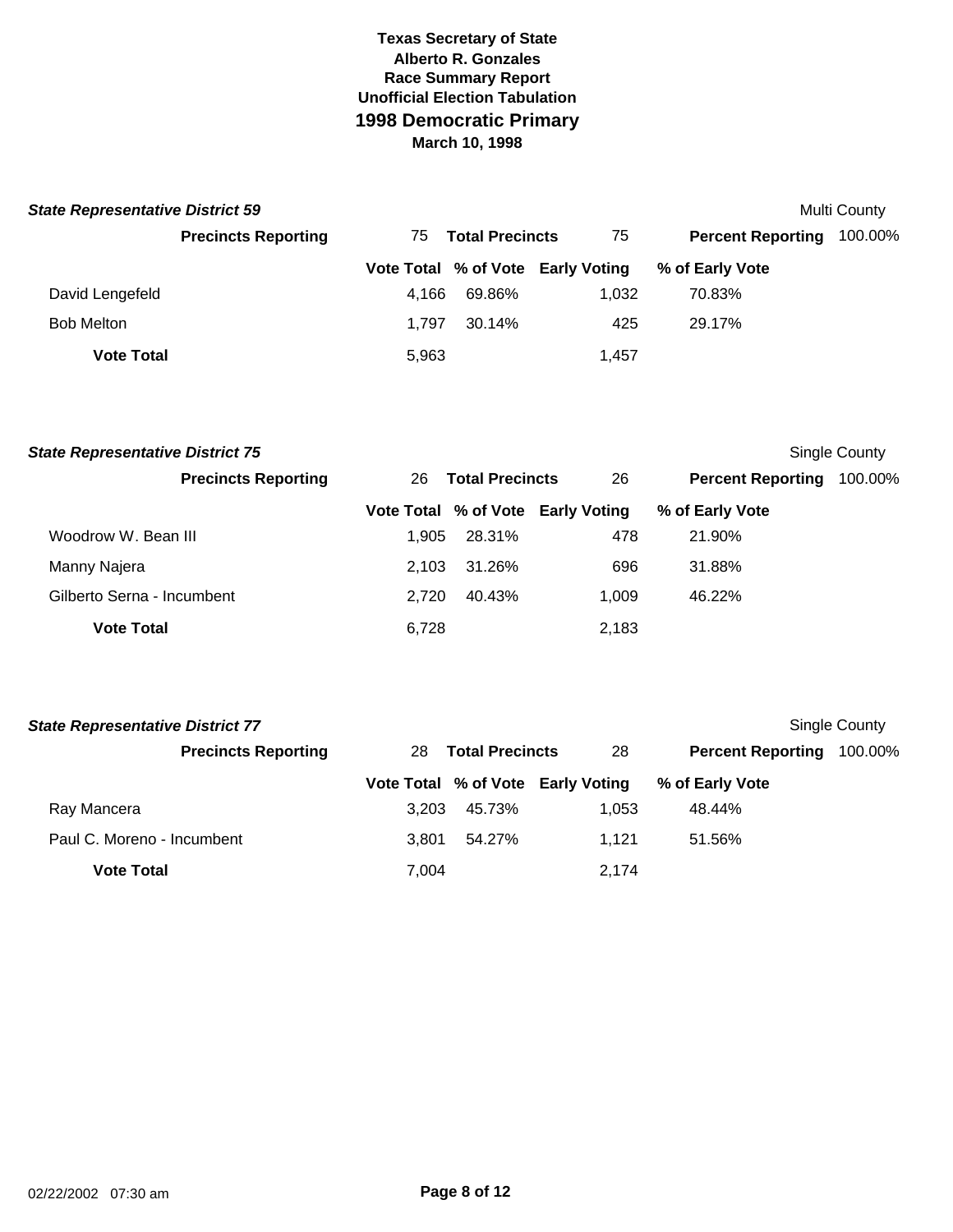| <b>State Representative District 59</b> |                            |       |                        |                                   |                          | Multi County |
|-----------------------------------------|----------------------------|-------|------------------------|-----------------------------------|--------------------------|--------------|
|                                         | <b>Precincts Reporting</b> | 75.   | <b>Total Precincts</b> | 75                                | <b>Percent Reporting</b> | 100.00%      |
|                                         |                            |       |                        | Vote Total % of Vote Early Voting | % of Early Vote          |              |
| David Lengefeld                         |                            | 4.166 | 69.86%                 | 1.032                             | 70.83%                   |              |
| <b>Bob Melton</b>                       |                            | 1.797 | 30.14%                 | 425                               | 29.17%                   |              |
| <b>Vote Total</b>                       |                            | 5,963 |                        | 1.457                             |                          |              |

| <b>State Representative District 75</b> |       |                        |                                   |                          | Single County |
|-----------------------------------------|-------|------------------------|-----------------------------------|--------------------------|---------------|
| <b>Precincts Reporting</b>              | 26    | <b>Total Precincts</b> | 26                                | <b>Percent Reporting</b> | 100.00%       |
|                                         |       |                        | Vote Total % of Vote Early Voting | % of Early Vote          |               |
| Woodrow W. Bean III                     | 1.905 | 28.31%                 | 478                               | 21.90%                   |               |
| Manny Najera                            | 2.103 | 31.26%                 | 696                               | 31.88%                   |               |
| Gilberto Serna - Incumbent              | 2.720 | 40.43%                 | 1.009                             | 46.22%                   |               |
| <b>Vote Total</b>                       | 6,728 |                        | 2,183                             |                          |               |

| <b>State Representative District 77</b> |       |                        |                                   |                          | Single County |
|-----------------------------------------|-------|------------------------|-----------------------------------|--------------------------|---------------|
| <b>Precincts Reporting</b>              | 28    | <b>Total Precincts</b> | 28                                | <b>Percent Reporting</b> | 100.00%       |
|                                         |       |                        | Vote Total % of Vote Early Voting | % of Early Vote          |               |
| Ray Mancera                             | 3.203 | 45.73%                 | 1.053                             | 48.44%                   |               |
| Paul C. Moreno - Incumbent              | 3.801 | 54.27%                 | 1.121                             | 51.56%                   |               |
| <b>Vote Total</b>                       | 7,004 |                        | 2,174                             |                          |               |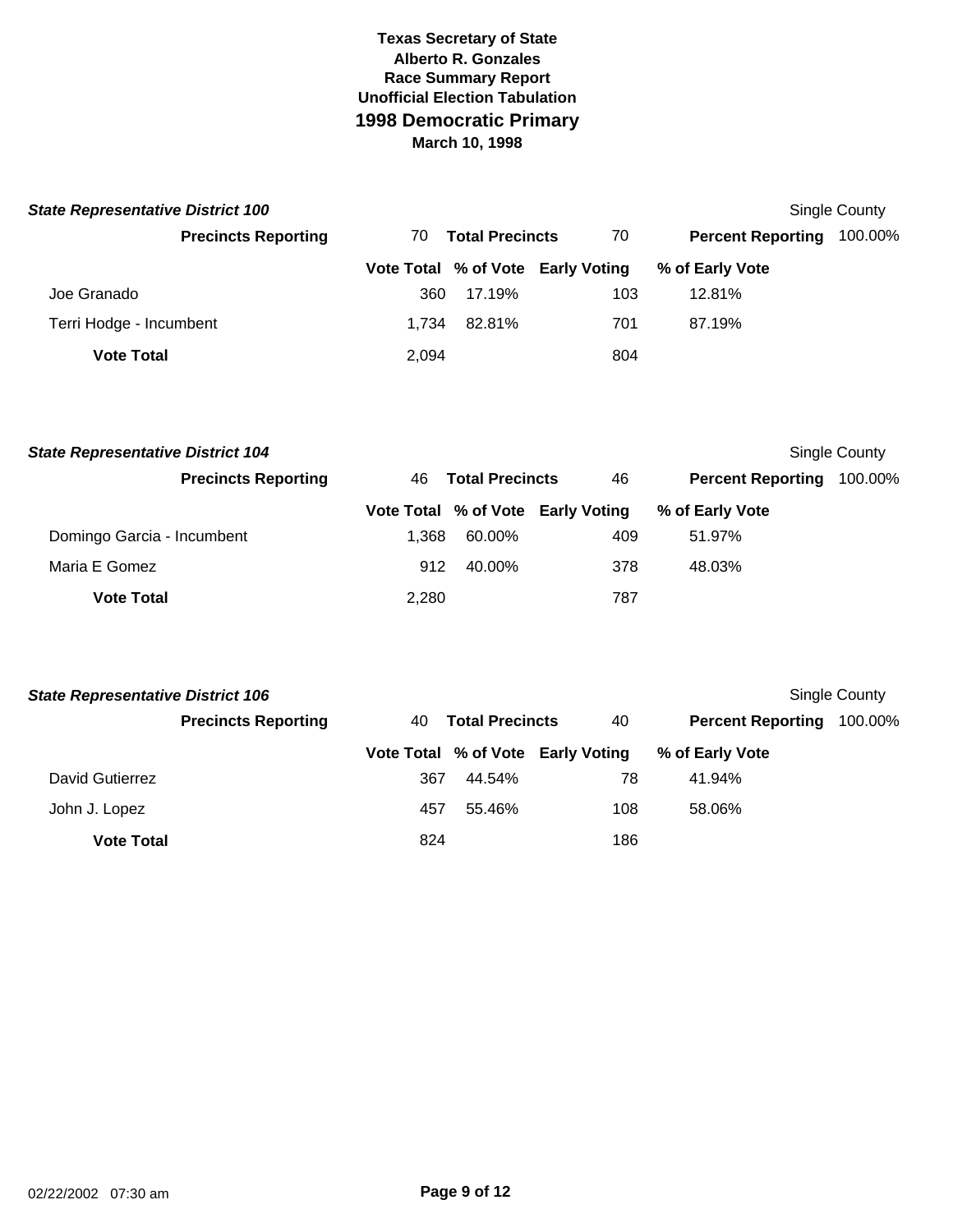| <b>State Representative District 100</b> |       |                        |                                   |                          | Single County |
|------------------------------------------|-------|------------------------|-----------------------------------|--------------------------|---------------|
| <b>Precincts Reporting</b>               | 70.   | <b>Total Precincts</b> | 70                                | <b>Percent Reporting</b> | 100.00%       |
|                                          |       |                        | Vote Total % of Vote Early Voting | % of Early Vote          |               |
| Joe Granado                              | 360   | 17.19%                 | 103                               | 12.81%                   |               |
| Terri Hodge - Incumbent                  | 1.734 | 82.81%                 | 701                               | 87.19%                   |               |
| <b>Vote Total</b>                        | 2,094 |                        | 804                               |                          |               |

| <b>State Representative District 104</b> |                            |       |                        |                                   |                          | Single County |
|------------------------------------------|----------------------------|-------|------------------------|-----------------------------------|--------------------------|---------------|
|                                          | <b>Precincts Reporting</b> | 46.   | <b>Total Precincts</b> | 46                                | <b>Percent Reporting</b> | 100.00%       |
|                                          |                            |       |                        | Vote Total % of Vote Early Voting | % of Early Vote          |               |
| Domingo Garcia - Incumbent               |                            | 1.368 | 60.00%                 | 409                               | 51.97%                   |               |
| Maria E Gomez                            |                            | 912   | 40.00%                 | 378                               | 48.03%                   |               |
| <b>Vote Total</b>                        |                            | 2,280 |                        | 787                               |                          |               |

| <b>State Representative District 106</b><br>Single County |                            |     |                        |                                   |                          |         |  |  |
|-----------------------------------------------------------|----------------------------|-----|------------------------|-----------------------------------|--------------------------|---------|--|--|
|                                                           | <b>Precincts Reporting</b> | 40. | <b>Total Precincts</b> | 40                                | <b>Percent Reporting</b> | 100.00% |  |  |
|                                                           |                            |     |                        | Vote Total % of Vote Early Voting | % of Early Vote          |         |  |  |
| David Gutierrez                                           |                            | 367 | 44.54%                 | 78                                | 41.94%                   |         |  |  |
| John J. Lopez                                             |                            | 457 | 55.46%                 | 108                               | 58.06%                   |         |  |  |
| <b>Vote Total</b>                                         |                            | 824 |                        | 186                               |                          |         |  |  |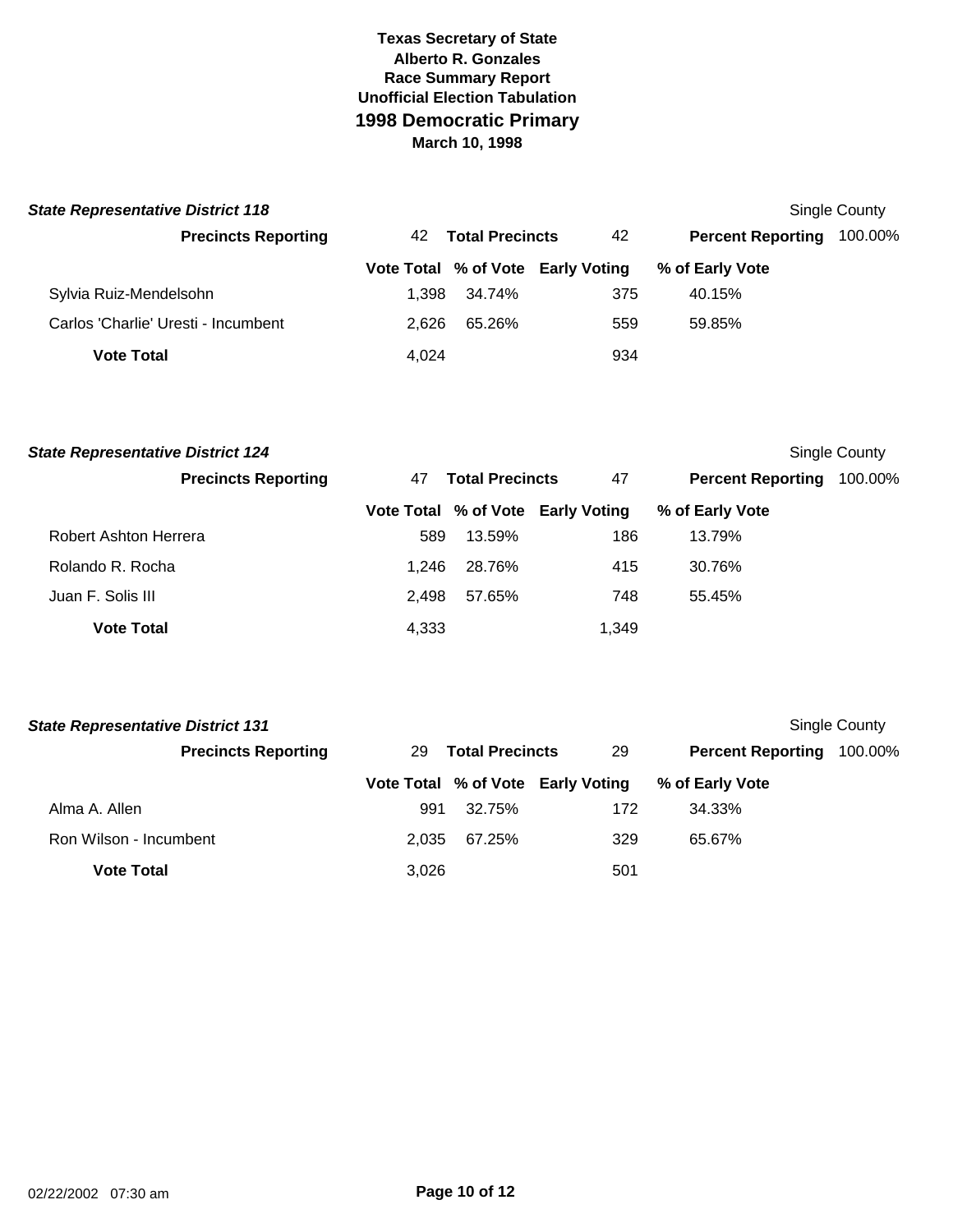| <b>State Representative District 118</b> |       |                        |                                   |                          | Single County |
|------------------------------------------|-------|------------------------|-----------------------------------|--------------------------|---------------|
| <b>Precincts Reporting</b>               | 42    | <b>Total Precincts</b> | 42                                | <b>Percent Reporting</b> | 100.00%       |
|                                          |       |                        | Vote Total % of Vote Early Voting | % of Early Vote          |               |
| Sylvia Ruiz-Mendelsohn                   | 1.398 | 34.74%                 | 375                               | 40.15%                   |               |
| Carlos 'Charlie' Uresti - Incumbent      | 2.626 | 65.26%                 | 559                               | 59.85%                   |               |
| <b>Vote Total</b>                        | 4,024 |                        | 934                               |                          |               |

| <b>State Representative District 124</b> |       |                        |                                   |                          | Single County |
|------------------------------------------|-------|------------------------|-----------------------------------|--------------------------|---------------|
| <b>Precincts Reporting</b>               | 47    | <b>Total Precincts</b> |                                   | <b>Percent Reporting</b> | 100.00%       |
|                                          |       |                        | Vote Total % of Vote Early Voting | % of Early Vote          |               |
| Robert Ashton Herrera                    | 589   | 13.59%                 | 186                               | 13.79%                   |               |
| Rolando R. Rocha                         | 1.246 | 28.76%                 | 415                               | 30.76%                   |               |
| Juan F. Solis III                        | 2.498 | 57.65%                 | 748                               | 55.45%                   |               |
| <b>Vote Total</b>                        | 4,333 |                        | 1.349                             |                          |               |

| <b>State Representative District 131</b> |       |                        |                                   |                          | Single County |
|------------------------------------------|-------|------------------------|-----------------------------------|--------------------------|---------------|
| <b>Precincts Reporting</b>               | 29    | <b>Total Precincts</b> | 29                                | <b>Percent Reporting</b> | 100.00%       |
|                                          |       |                        | Vote Total % of Vote Early Voting | % of Early Vote          |               |
| Alma A. Allen                            | 991   | 32.75%                 | 172                               | 34.33%                   |               |
| Ron Wilson - Incumbent                   | 2.035 | 67.25%                 | 329                               | 65.67%                   |               |
| <b>Vote Total</b>                        | 3,026 |                        | 501                               |                          |               |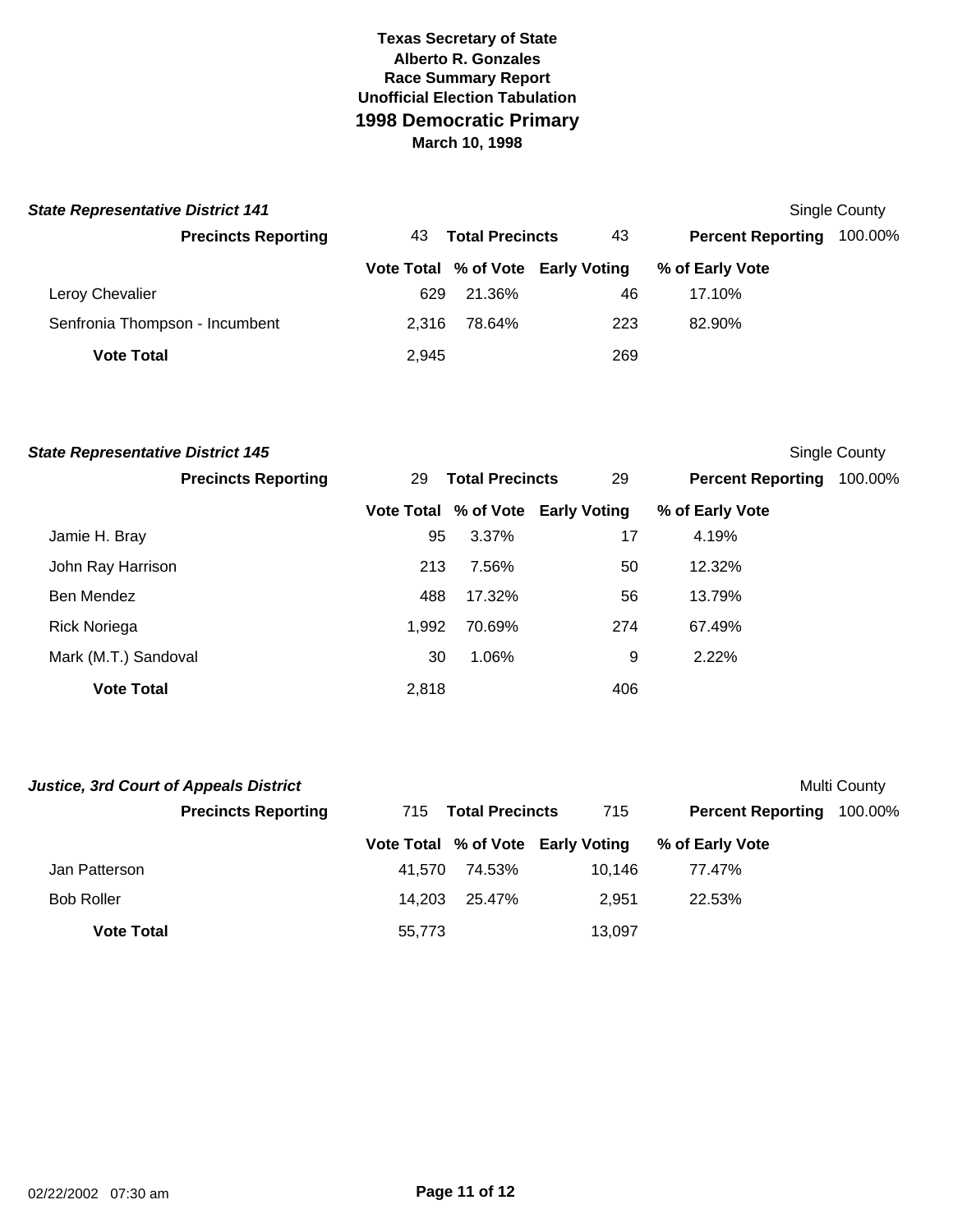| <b>State Representative District 141</b> |       |                        |                                   |                          | Single County |
|------------------------------------------|-------|------------------------|-----------------------------------|--------------------------|---------------|
| <b>Precincts Reporting</b>               | 43.   | <b>Total Precincts</b> | 43                                | <b>Percent Reporting</b> | 100.00%       |
|                                          |       |                        | Vote Total % of Vote Early Voting | % of Early Vote          |               |
| Leroy Chevalier                          | 629   | 21.36%                 | 46                                | 17.10%                   |               |
| Senfronia Thompson - Incumbent           | 2.316 | 78.64%                 | 223                               | 82.90%                   |               |
| <b>Vote Total</b>                        | 2,945 |                        | 269                               |                          |               |

|    |        |                                    |                                                             | <b>Single County</b>     |
|----|--------|------------------------------------|-------------------------------------------------------------|--------------------------|
| 29 |        | 29                                 |                                                             | 100.00%                  |
|    |        |                                    | % of Early Vote                                             |                          |
|    | 3.37%  | 17                                 | 4.19%                                                       |                          |
|    | 7.56%  | 50                                 | 12.32%                                                      |                          |
|    | 17.32% | 56                                 | 13.79%                                                      |                          |
|    | 70.69% | 274                                | 67.49%                                                      |                          |
| 30 | 1.06%  | 9                                  | 2.22%                                                       |                          |
|    |        | 406                                |                                                             |                          |
|    |        | 95<br>213<br>488<br>1,992<br>2,818 | <b>Total Precincts</b><br>Vote Total % of Vote Early Voting | <b>Percent Reporting</b> |

| <b>Justice, 3rd Court of Appeals District</b> |                            |        |                        |                                   |                          | Multi County |
|-----------------------------------------------|----------------------------|--------|------------------------|-----------------------------------|--------------------------|--------------|
|                                               | <b>Precincts Reporting</b> | 715    | <b>Total Precincts</b> | 715                               | <b>Percent Reporting</b> | 100.00%      |
|                                               |                            |        |                        | Vote Total % of Vote Early Voting | % of Early Vote          |              |
| Jan Patterson                                 |                            | 41.570 | 74.53%                 | 10.146                            | 77.47%                   |              |
| <b>Bob Roller</b>                             |                            | 14.203 | 25.47%                 | 2.951                             | 22.53%                   |              |
| <b>Vote Total</b>                             |                            | 55.773 |                        | 13,097                            |                          |              |